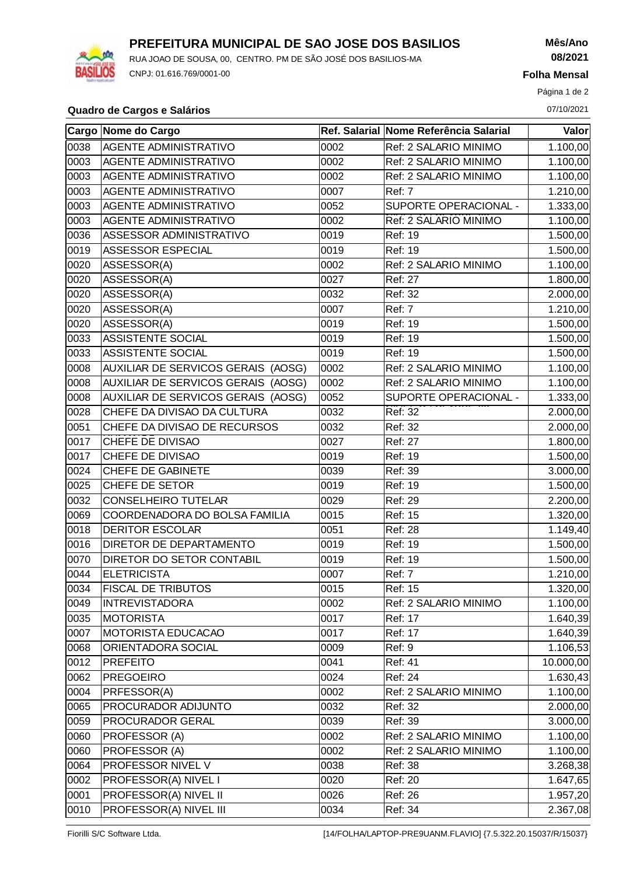

## **PREFEITURA MUNICIPAL DE SAO JOSE DOS BASILIOS**

RUA JOAO DE SOUSA, 00, CENTRO. PM DE SÃO JOSÉ DOS BASILIOS-MA CNPJ: 01.616.769/0001-00

**Mês/Ano 08/2021**

**Folha Mensal**

Página 1 de 2

#### **Quadro de Cargos e Salários** 07/10/2021

|      | Cargo Nome do Cargo                |      | Ref. Salarial Nome Referência Salarial | Valor                 |
|------|------------------------------------|------|----------------------------------------|-----------------------|
| 0038 | <b>AGENTE ADMINISTRATIVO</b>       | 0002 | Ref: 2 SALARIO MINIMO                  | 1.100,00              |
| 0003 | <b>AGENTE ADMINISTRATIVO</b>       | 0002 | Ref: 2 SALARIO MINIMO                  | 1.100,00              |
| 0003 | AGENTE ADMINISTRATIVO              | 0002 | Ref: 2 SALARIO MINIMO                  | 1.100,00              |
| 0003 | AGENTE ADMINISTRATIVO              | 0007 | Ref: 7                                 | 1.210,00              |
| 0003 | <b>AGENTE ADMINISTRATIVO</b>       | 0052 | SUPORTE OPERACIONAL -                  | 1.333,00              |
| 0003 | AGENTE ADMINISTRATIVO              | 0002 | Ref: 2 SALARIO MINIMO                  | 1.100,00              |
| 0036 | ASSESSOR ADMINISTRATIVO            | 0019 | Ref: 19                                | 1.500,00              |
| 0019 | ASSESSOR ESPECIAL                  | 0019 | Ref: 19                                | 1.500,00              |
| 0020 | ASSESSOR(A)                        | 0002 | Ref: 2 SALARIO MINIMO                  | 1.100,00              |
| 0020 | ASSESSOR(A)                        | 0027 | Ref: 27                                | 1.800,00              |
| 0020 | ASSESSOR(A)                        | 0032 | Ref: 32                                | 2.000,00              |
| 0020 | ASSESSOR(A)                        | 0007 | Ref: 7                                 | 1.210,00              |
| 0020 | ASSESSOR(A)                        | 0019 | Ref: 19                                | 1.500,00              |
| 0033 | ASSISTENTE SOCIAL                  | 0019 | Ref: 19                                | 1.500,00              |
| 0033 | ASSISTENTE SOCIAL                  | 0019 | Ref: 19                                | 1.500,00              |
| 0008 | AUXILIAR DE SERVICOS GERAIS (AOSG) | 0002 | Ref: 2 SALARIO MINIMO                  | 1.100,00              |
| 0008 | AUXILIAR DE SERVICOS GERAIS (AOSG) | 0002 | Ref: 2 SALARIO MINIMO                  | 1.100,00              |
| 0008 | AUXILIAR DE SERVICOS GERAIS (AOSG) | 0052 | SUPORTE OPERACIONAL -                  | 1.333,00              |
| 0028 | CHEFE DA DIVISAO DA CULTURA        | 0032 | Ref: 32                                | 2.000,00              |
| 0051 | CHEFE DA DIVISAO DE RECURSOS       | 0032 | Ref: 32                                | 2.000,00              |
| 0017 | CHEFE DE DIVISAO                   | 0027 | Ref: 27                                | 1.800,00              |
| 0017 | CHEFE DE DIVISAO                   | 0019 | Ref: 19                                | 1.500,00              |
| 0024 | CHEFE DE GABINETE                  | 0039 | Ref: 39                                | 3.000,00              |
| 0025 | CHEFE DE SETOR                     | 0019 | Ref: 19                                | 1.500,00              |
| 0032 | <b>CONSELHEIRO TUTELAR</b>         | 0029 | Ref: 29                                | 2.200,00              |
| 0069 | COORDENADORA DO BOLSA FAMILIA      | 0015 | Ref: 15                                | 1.320,00              |
| 0018 | <b>DERITOR ESCOLAR</b>             | 0051 | Ref: 28                                | 1.149,40              |
| 0016 | DIRETOR DE DEPARTAMENTO            | 0019 | Ref: 19                                | 1.500,00              |
| 0070 | DIRETOR DO SETOR CONTABIL          | 0019 | Ref: 19                                | 1.500,00              |
| 0044 | <b>ELETRICISTA</b>                 | 0007 | Ref: 7                                 | $\overline{1.210,00}$ |
| 0034 | <b>FISCAL DE TRIBUTOS</b>          | 0015 | Ref: 15                                | 1.320,00              |
| 0049 | <b>INTREVISTADORA</b>              | 0002 | Ref: 2 SALARIO MINIMO                  | 1.100,00              |
| 0035 | MOTORISTA                          | 0017 | Ref: 17                                | 1.640,39              |
| 0007 | MOTORISTA EDUCACAO                 | 0017 | Ref: 17                                | 1.640,39              |
| 8900 | ORIENTADORA SOCIAL                 | 0009 | Ref: 9                                 | 1.106,53              |
| 0012 | <b>PREFEITO</b>                    | 0041 | Ref: 41                                | 10.000,00             |
| 0062 | <b>PREGOEIRO</b>                   | 0024 | Ref: 24                                | 1.630,43              |
| 0004 | PRFESSOR(A)                        | 0002 | Ref: 2 SALARIO MINIMO                  | 1.100,00              |
| 0065 | PROCURADOR ADIJUNTO                | 0032 | Ref: 32                                | 2.000,00              |
| 0059 | PROCURADOR GERAL                   | 0039 | Ref: 39                                | 3.000,00              |
| 0060 | PROFESSOR (A)                      | 0002 | Ref: 2 SALARIO MINIMO                  | 1.100,00              |
| 0060 | PROFESSOR (A)                      | 0002 | Ref: 2 SALARIO MINIMO                  | 1.100,00              |
| 0064 | PROFESSOR NIVEL V                  | 0038 | Ref: 38                                | 3.268,38              |
| 0002 | PROFESSOR(A) NIVEL I               | 0020 | Ref: 20                                | 1.647,65              |
| 0001 | PROFESSOR(A) NIVEL II              | 0026 | Ref: 26                                | 1.957,20              |
| 0010 | PROFESSOR(A) NIVEL III             | 0034 | Ref: 34                                | 2.367,08              |

Fiorilli S/C Software Ltda. [14/FOLHA/LAPTOP-PRE9UANM.FLAVIO] {7.5.322.20.15037/R/15037}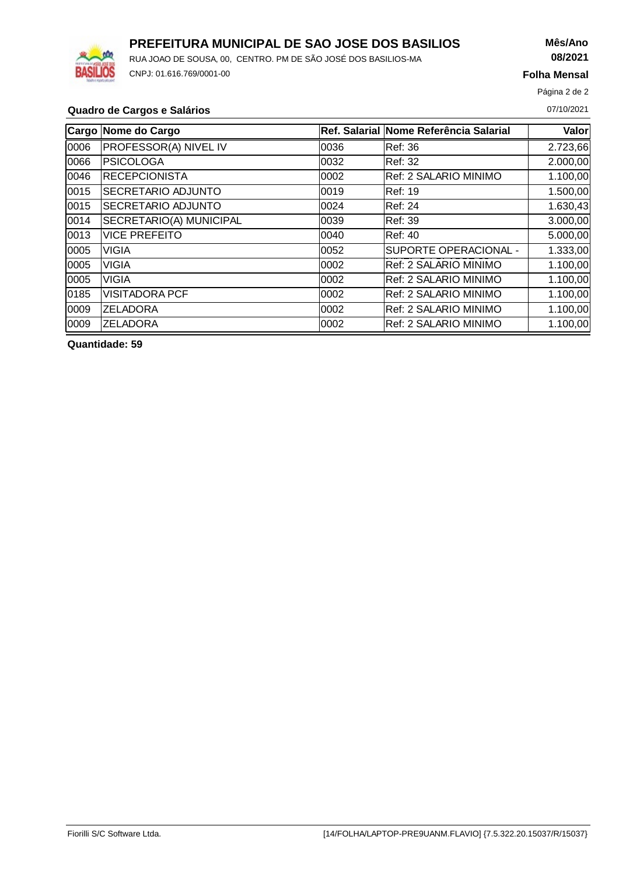

# **PREFEITURA MUNICIPAL DE SAO JOSE DOS BASILIOS**

RUA JOAO DE SOUSA, 00, CENTRO. PM DE SÃO JOSÉ DOS BASILIOS-MA CNPJ: 01.616.769/0001-00

## **Mês/Ano 08/2021**

**Folha Mensal**

Página 2 de 2

### **Quadro de Cargos e Salários** 07/10/2021

|       | Cargo Nome do Cargo          |       | Ref. Salarial Nome Referência Salarial | Valor    |
|-------|------------------------------|-------|----------------------------------------|----------|
| 0006  | <b>PROFESSOR(A) NIVEL IV</b> | 0036  | Ref: 36                                | 2.723,66 |
| 0066  | <b>PSICOLOGA</b>             | 10032 | Ref: 32                                | 2.000,00 |
| 0046  | <b>RECEPCIONISTA</b>         | 10002 | Ref: 2 SALARIO MINIMO                  | 1.100,00 |
| 0015  | <b>SECRETARIO ADJUNTO</b>    | 0019  | <b>Ref: 19</b>                         | 1.500,00 |
| 0015  | <b>SECRETARIO ADJUNTO</b>    | 0024  | Ref: 24                                | 1.630,43 |
| 0014  | SECRETARIO(A) MUNICIPAL      | 0039  | Ref: 39                                | 3.000,00 |
| 0013  | <b>VICE PREFEITO</b>         | 10040 | Ref: 40                                | 5.000,00 |
| 0005  | <b>VIGIA</b>                 | 0052  | SUPORTE OPERACIONAL -                  | 1.333,00 |
| 0005  | <b>VIGIA</b>                 | 0002  | Ref: 2 SALARIO MINIMO                  | 1.100,00 |
| 0005  | <b>VIGIA</b>                 | 0002  | Ref: 2 SALARIO MINIMO                  | 1.100,00 |
| 0185  | <b>VISITADORA PCF</b>        | 10002 | Ref: 2 SALARIO MINIMO                  | 1.100,00 |
| 0009  | <b>ZELADORA</b>              | 10002 | Ref: 2 SALARIO MINIMO                  | 1.100,00 |
| 10009 | <b>ZELADORA</b>              | 0002  | Ref: 2 SALARIO MINIMO                  | 1.100,00 |

**Quantidade: 59**